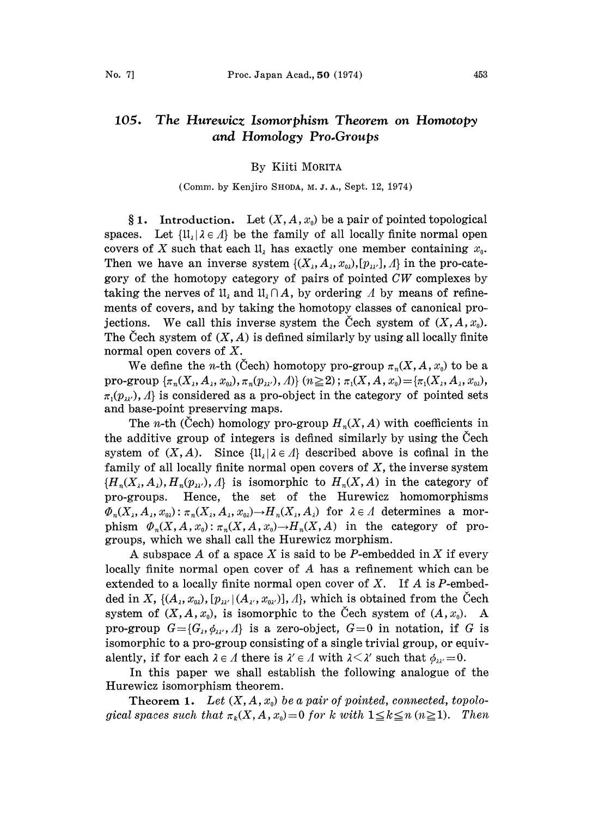#### 105. The Hurewicz Isomorphism Theorem on Homotopy and Homology Pro.Groups

## By Kiiti MORITA

#### (Comm. by Kenjiro SHODA, M. J. A., Sept. 12, 1974)

§ 1. Introduction. Let  $(X, A, x_0)$  be a pair of pointed topological spaces. Let  $\{\mathfrak{U}_i | \lambda \in \Lambda\}$  be the family of all locally finite normal open covers of X such that each  $\mathfrak{U}_{\lambda}$  has exactly one member containing  $x_0$ . Then we have an inverse system  $\{(X_{\lambda}, A_{\lambda}, x_{\omega}), [p_{\lambda}, A\}]$  in the pro-category of the homotopy category of pairs of pointed  $CW$  complexes by taking the nerves of  $\mathfrak{U}_1$  and  $\mathfrak{U}_1 \cap A$ , by ordering A by means of refinements of covers, and by taking the homotopy classes of canonical projections. We call this inverse system the Cech system of  $(X, A, x_0)$ . The Cech system of  $(X, A)$  is defined similarly by using all locally finite normal open covers of X.

We define the *n*-th (Cech) homotopy pro-group  $\pi_n(X, A, x_0)$  to be a pro-group  $\{\pi_n(X_\lambda, A_\lambda, x_{0\lambda}), \pi_n(p_{\lambda\lambda'},A)\}$   $(n\geq 2)$ ;  $\pi_1(X,A,x_0) = \{\pi_1(X_\lambda, A_\lambda, x_{0\lambda}),\}$  $\pi_1(p_{\lambda},\lambda)$  is considered as a pro-object in the category of pointed sets and base-point preserving maps.

The *n*-th (Cech) homology pro-group  $H_n(X, A)$  with coefficients in the additive group of integers is defined similarly by using the Cech system of  $(X, A)$ . Since  $\{1\} \cup \{1\}$  described above is cofinal in the family of all locally finite normal open covers of  $X$ , the inverse system  $\{H_n(X_i, A_i), H_n(p_{\lambda\lambda}), A\}$  is isomorphic to  $H_n(X, A)$  in the category of pro-groups. Hence, the set of the Hurewicz homomorphisms  $\Phi_n(X_\lambda, A_\lambda, x_{0\lambda})$ :  $\pi_n(X_\lambda, A_\lambda, x_{0\lambda}) \to H_n(X_\lambda, A_\lambda)$  for  $\lambda \in \Lambda$  determines a morphism  $\Phi_n(X, A, x_0): \pi_n(X, A, x_0) \to H_n(X, A)$  in the category of progroups, which we shall call the Hurewicz morphism.

A subspace A of a space X is said to be P-embedded in X if every locally finite normal open cover of A has <sup>a</sup> refinement which can be extended to a locally finite normal open cover of  $X$ . If  $A$  is  $P$ -embedded in X,  $\{(A_{\lambda}, x_{0\lambda}), [p_{\lambda\lambda'}|(A_{\lambda'}, x_{0\lambda'})], \lambda\}$ , which is obtained from the Čech system of  $(X, A, x_0)$ , is isomorphic to the Cech system of  $(A, x_0)$ . A pro-group  $G = \{G_{\lambda}, \phi_{\lambda\lambda\lambda}, A\}$  is a zero-object,  $G=0$  in notation, if G is isomorphic to a pro-group consisting of a single trivial group, or equivalently, if for each  $\lambda \in \Lambda$  there is  $\lambda' \in \Lambda$  with  $\lambda \leq \lambda'$  such that  $\phi_{\lambda\lambda} = 0$ .<br>In this paper we shall establish the following analogue of

In this paper we shall establish the following analogue of the following analogue of the Hurewicz isomorphism theorem.

**Theorem 1.** Let  $(X, A, x_0)$  be a pair of pointed, connected, topological spaces such that  $\pi_k(X, A, x_0) = 0$  for k with  $1 \leq k \leq n \ (n \geq 1)$ . Then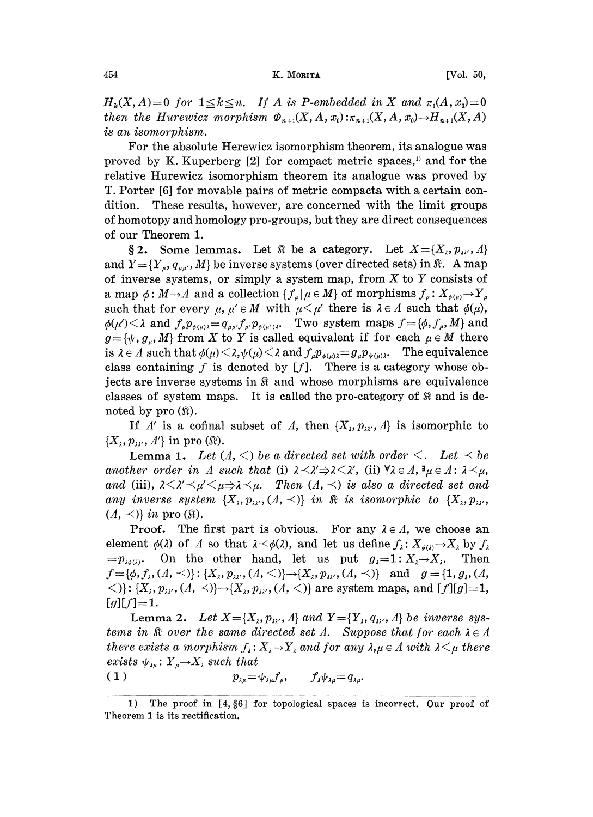### 454 **K. MORITA** [Vol. 50,

 $H_k(X, A) = 0$  for  $1 \le k \le n$ . If A is P-embedded in X and  $\pi_1(A, x_0) = 0$ then the Hurewicz morphism  $\Phi_{n+1}(X, A, x_0): \pi_{n+1}(X, A, x_0) \to H_{n+1}(X, A)$ is an isomorphism.

For the absolute Herewicz isomorphism theorem, its analogue was proved by K. Kuperberg [2] for compact metric spaces,<sup>1</sup> and for the relative Hurewicz isomorphism theorem its analogue was proved by T. Porter [6] for movable pairs of metric compacta with a certain condition. These results, however, are concerned with the limit groups of homotopy and homology pro-groups, but they are direct consequences of our Theorem 1.

§ 2. Some lemmas. Let  $\Re$  be a category. Let  $X = \{X_1, p_{\lambda\lambda}, A\}$ and  $Y = \{Y_u, q_{uu'}, M\}$  be inverse systems (over directed sets) in  $\Re$ . A map of inverse systems, or simply a system map, from  $X$  to  $Y$  consists of a map  $\phi: M \to A$  and a collection  $\{f_{\mu} | \mu \in M\}$  of morphisms  $f_{\mu}: X_{\phi(\mu)} \to Y_{\mu}$ such that for every  $\mu$ ,  $\mu' \in M$  with  $\mu \leq \mu'$  there is  $\lambda \in \Lambda$  such that  $\phi(\mu)$ ,  $\phi(\mu') < \lambda$  and  $f_{\mu}p_{\phi(\mu)\lambda} = q_{\mu\mu'}f_{\mu'}p_{\phi(\mu')\lambda}$ . Two system maps  $f = {\phi, f_{\mu}, M}$  and  $g = {\psi, g_u, M}$  from X to Y is called equivalent if for each  $\mu \in M$  there is  $\lambda \in \Lambda$  such that  $\phi(\mu) \leq \lambda, \psi(\mu) \leq \lambda$  and  $f_{\mu}p_{\phi(\mu)\lambda} = g_{\mu}p_{\psi(\mu)\lambda}$ . The equivalence class containing  $f$  is denoted by  $[f]$ . There is a category whose objects are inverse systems in  $\Re$  and whose morphisms are equivalence classes of system maps. It is called the pro-category of  $\Re$  and is denoted by pro  $(\Re)$ .

If  $\Lambda'$  is a cofinal subset of  $\Lambda$ , then  $\{X_{\lambda}, p_{\lambda\lambda'}, \Lambda\}$  is isomorphic to  $\{X_\lambda, p_{\lambda\prime}, \Lambda'\}\$ in pro ( $\Re$ ).

**Lemma 1.** Let  $(A, \leq)$  be a directed set with order  $\leq$ . Let  $\leq$  be another order in A such that (i)  $\lambda \langle \lambda \rangle \Rightarrow \lambda \langle \lambda \rangle$ , (ii)  $\forall \lambda \in \Lambda, \exists \mu \in \Lambda : \lambda \langle \mu, \lambda \rangle$ and (iii),  $\lambda < \lambda' < \mu' < \mu \Rightarrow \lambda < \mu$ . Then  $(\Lambda, <)$  is also a directed set and any inverse system  $\{X_i, p_{\lambda i'}, (A, \prec)\}\$ in  $\Re$  is isomorphic to  $\{X_i, p_{\lambda i'},$  $(\Lambda, \prec)$  in pro  $(\Re)$ .

**Proof.** The first part is obvious. For any  $\lambda \in \Lambda$ , we choose an element  $\phi(\lambda)$  of A so that  $\lambda \leq \phi(\lambda)$ , and let us define  $f_{\lambda}: X_{\phi(\lambda)} \to X_{\lambda}$  by  $f_{\lambda}$  $=p_{\lambda\phi(\lambda)}$ . On the other hand, let us put  $g_{\lambda}=1: X_{\lambda}\rightarrow X_{\lambda}$ . Then  $f=[\phi, f_{\lambda}, (A, \prec)]$ : { $X_{\lambda}, p_{\lambda}, (A, \prec)$ } $\rightarrow$ { $X_{\lambda}, p_{\lambda}, (A, \prec)$ } and  $g =$ {1,  $g_{\lambda}, (A, \prec)$ }  $\langle \langle \cdot | \cdot | X_{\lambda}, p_{\lambda}, (A, \prec) \rangle \rightarrow \langle X_{\lambda}, p_{\lambda}, (A, \prec) \rangle$  are system maps, and [f][g]=1,  $[g][f]=1.$ 

Lemma 2. Let  $X = \{X_\lambda, p_{\lambda\lambda}, A\}$  and  $Y = \{Y_\lambda, q_{\lambda\lambda}, A\}$  be inverse systems in  $\Re$  over the same directed set  $\Lambda$ . Suppose that for each  $\lambda \in \Lambda$ there exists a morphism  $f_\lambda: X_\lambda \to Y_\lambda$  and for any  $\lambda, \mu \in A$  with  $\lambda \leq \mu$  there  $exists \; \psi_{\lambda\mu} \colon Y_{\mu} \rightarrow X_{\lambda} \; such \; that \ (1) \qquad p_{\lambda\mu} = 0$ 

$$
(1) \t\t\t p_{\lambda\mu} = \psi_{\lambda\mu} f_{\mu}, \t\t f_{\lambda}\psi_{\lambda\mu} = q_{\lambda\mu}.
$$

<sup>1)</sup> The proof in [4, §6] for topological spaces is incorrect. Our proof of Theorem 1 is its rectification.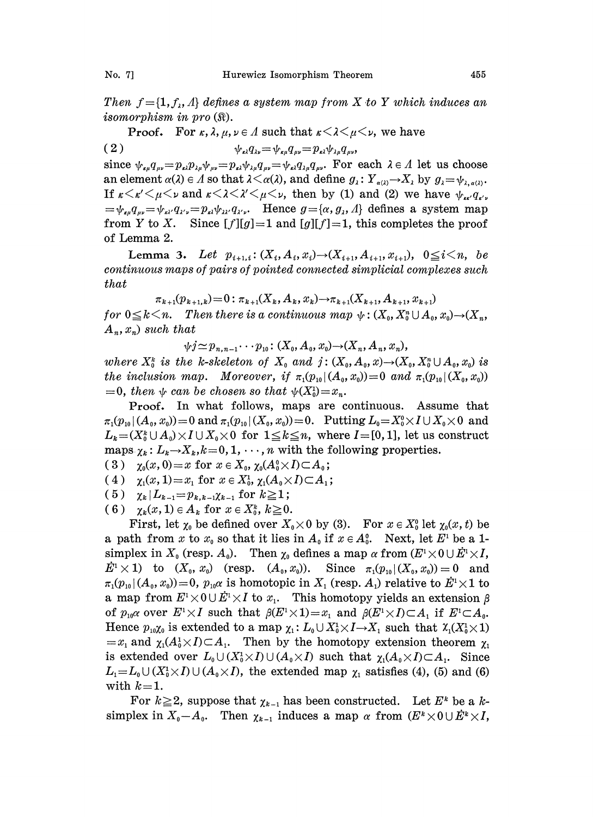Then  $f = \{1, f_{\lambda}, A\}$  defines a system map from X to Y which induces an isomorphism in pro  $(\Re)$ .

**Proof.** For  $\kappa$ ,  $\lambda$ ,  $\mu$ ,  $\nu \in \Lambda$  such that  $\kappa \leq \lambda \leq \mu \leq \nu$ , we have

$$
(2) \qquad \qquad \psi_{\kappa\lambda}q_{\lambda\nu} = \psi_{\kappa\mu}q_{\mu\nu} = p_{\kappa\lambda}\psi_{\lambda\mu}q_{\mu\nu},
$$

since  $\psi_{\mu\mu}q_{\mu\nu}=p_{\mu\lambda}p_{\lambda\mu}\psi_{\mu\nu}=p_{\mu\lambda}q_{\lambda\mu}q_{\mu\nu}-\psi_{\mu\lambda}q_{\lambda\mu}q_{\mu\nu}$ . For each  $\lambda \in \Lambda$  let us choose an element  $\alpha(\lambda) \in \Lambda$  so that  $\lambda \leq \alpha(\lambda)$ , and define  $g_{\lambda}: Y_{\alpha(\lambda)} \to X_{\lambda}$  by  $g_{\lambda} = \psi_{\lambda, \alpha(\lambda)}$ . If  $\kappa < \kappa' < \mu < \nu$  and  $\kappa < \lambda < \lambda' < \mu < \nu$ , then by (1) and (2) we have  $\psi_{\kappa \kappa'} q_{\kappa'}$ ,<br>  $= \psi_{\kappa \mu} q_{\mu\nu} = \psi_{\kappa \lambda'} q_{\lambda' \nu} = p_{\kappa \lambda'} q_{\lambda' \nu} q_{\lambda' \nu}$ . Hence  $g = {\alpha, g_\lambda, \Lambda}$  defines a system map If  $\kappa \langle \kappa' \langle \mu \langle \nu \rangle$  and  $\kappa \langle \lambda' \langle \mu \langle \nu \rangle \rangle$ , then by (1) and (2) we have  $\psi_{\kappa \kappa'} q_{\kappa'}$ . from Y to X. Since  $[f][g]=1$  and  $[g][f]=1$ , this completes the proof of Lemma 2.

Lemma 3. Let  $p_{i+1,i}: (X_i, A_i, x_i) \rightarrow (X_{i+1}, A_{i+1}, x_{i+1}), 0 \le i \le n$ , be continuous maps of pairs of pointed connected simplicial complexes such that

 $\pi_{k+1}(p_{k+1,k})=0: \pi_{k+1}(X_k, A_k, x_k) \rightarrow \pi_{k+1}(X_{k+1}, A_{k+1}, x_{k+1})$ for  $0 \le k \le n$ . Then there is a continuous map  $\psi: (X_0, X_0^n \cup A_0, x_0) \rightarrow (X_n,$  $A_n, x_n$  such that

 $\psi j \simeq p_{n,n-1} \cdots p_{10}$ :  $(X_0, A_0, x_0) \rightarrow (X_n, A_n, x_n),$ 

where  $X_0^k$  is the k-skeleton of  $X_0$  and  $j: (X_0, A_0, x) \rightarrow (X_0, X_0^n \cup A_0, x_0)$  is the inclusion map. Moreover, if  $\pi_1(p_{10}|(A_0, x_0))=0$  and  $\pi_1(p_{10}|(X_0, x_0))$  $=0$ , then  $\psi$  can be chosen so that  $\psi(X_0^1)=x_n$ .

Proof. In what follows, maps are continuous. Assume that  $\pi_1(p_{10}|(A_0, x_0))=0$  and  $\pi_1(p_{10}|(X_0, x_0))=0$ . Putting  $L_0=X_0^0\times I\cup X_0\times 0$  and  $L_k = (X_0^k \cup A_0) \times I \cup X_0 \times 0$  for  $1 \leq k \leq n$ , where  $I = [0,1]$ , let us construct maps.  $\chi_k: L_k \to X_k, k=0, 1, \cdots, n$  with the following properties.

( 3 )  $\chi_0(x, 0) = x$  for  $x \in X_0$ ,  $\chi_0(A_0^0 \times I) \subset A_0$ ;

(4)  $\chi_1(x, 1) = x_1$  for  $x \in X_0^1$ ,  $\chi_1(A_0 \times I) \subset A_1$ ;

( 5 )  $\chi_k |L_{k-1} = p_{k,k-1} \chi_{k-1}$  for  $k \ge 1$ ;

(6)  $\chi_k(x,1) \in A_k$  for  $x \in X_0^k$ ,  $k \geq 0$ .

First, let  $\chi_0$  be defined over  $X_0 \times 0$  by (3). For  $x \in X_0^0$  let  $\chi_0(x, t)$  be a path from x to  $x_0$  so that it lies in  $A_0$  if  $x \in A_0^0$ . Next, let  $E^1$  be a 1simplex in  $X_0$  (resp.  $A_0$ ). Then  $\chi_0$  defines a map  $\alpha$  from  $(E^1 \times 0 \cup E^1 \times I)$ ,  $E^1 \times 1$ ) to  $(X_0, x_0)$  (resp.  $(A_0, x_0)$ ). Since  $\pi_1(p_{10}|(X_0, x_0))=0$  and  $\pi_1(p_{10} | (A_0, x_0)) = 0$ ,  $p_{10} \alpha$  is homotopic in  $X_1$  (resp.  $A_1$ ) relative to  $\dot{E}^1 \times 1$  to a map from  $E^1 \times 0 \cup \dot{E}^1 \times I$  to  $x_1$ . This homotopy yields an extension  $\beta$ a map from  $E^1 \times 0 \cup E^1 \times I$  to  $x_1$ . This homotopy yields an extension  $\beta$  of  $p_{10} \alpha$  over  $E^1 \times I$  such that  $\beta(E^1 \times I) = x_1$  and  $\beta(E^1 \times I) \subset A_1$  if  $E^1 \subset A_0$ . Hence  $p_{10}\chi_0$  is extended to a map  $\chi_1: L_0 \cup X_0^1 \times I \to X_1$  such that  $\chi_1(X_0^1 \times I)$ <br>=  $x_1$  and  $\chi_1(A_0^1 \times I) \subset A_1$ . Then by the homotopy extension theorem  $\chi_1$  $=x_1$  and  $\chi_1(A_0^1 \times I) \subset A_1$ . Then by the homotopy extension theorem  $\chi_1$ is extended over  $L_0 \cup (X_0^1 \times I) \cup (A_0 \times I)$  such that  $\chi_1(A_0 \times I) \subset A_1$ . Since  $L_1 = L_0 \cup (X_0^1 \times I) \cup (A_0 \times I)$ , the extended map  $\chi_1$  satisfies (4), (5) and (6)<br>with  $k=1$ .<br>For  $k \ge 2$ , suppose that  $\chi_{k-1}$  has been constructed. Let  $E^k$  be a kwith  $k = 1$ .

simplex in  $X_0-A_0$ . Then  $\chi_{k-1}$  induces a map  $\alpha$  from  $(E^k \times 0 \cup E^k \times I)$ ,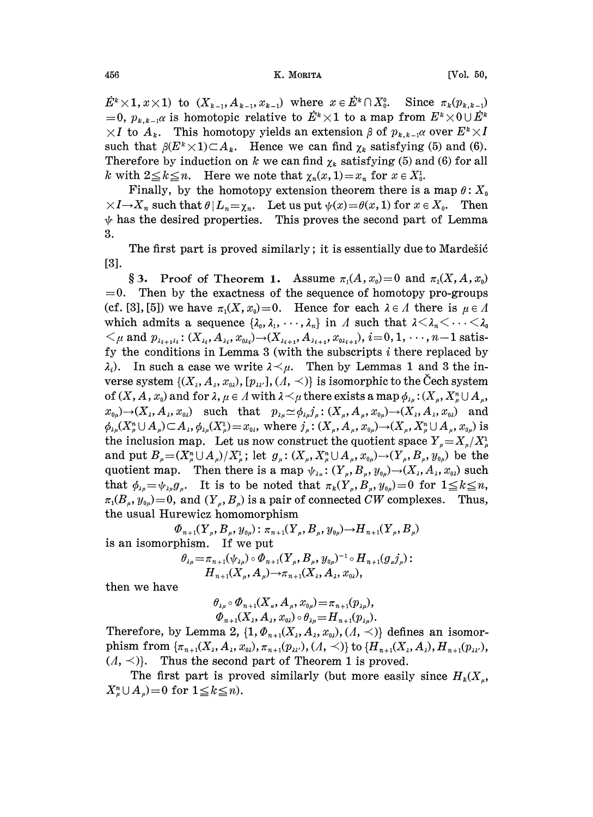$E^k \times 1, x \times 1$ ) to  $(X_{k-1}, A_{k-1}, x_{k-1})$  where  $x \in E^k \cap X_0^0$ . Since  $\pi_k(p_{k,k-1})$ =0,  $p_{k,k-1}$  is homotopic relative to  $\dot{E}^k \times 1$  to a map from  $E^k \times 0 \cup \dot{E}^k$  $\times I$  to  $A_k$ . This homotopy yields an extension  $\beta$  of  $p_{k,k-1}$  over  $E^k \times I$ such that  $\beta(E^k \times 1) \subset A_k$ . Hence we can find  $\chi_k$  satisfying (5) and (6). Therefore by induction on k we can find  $\chi_k$  satisfying (5) and (6) for all k with  $2 \leq k \leq n$ . Here we note that  $\chi_n(x, 1) = x_n$  for  $x \in X_0^1$ .

Finally, by the homotopy extension theorem there is a map  $\theta: X_0$  $\times I \rightarrow X_n$  such that  $\theta | L_n = \chi_n$ . Let us put  $\psi(x) = \theta(x, 1)$  for  $x \in X_0$ . Then  $\psi$  has the desired properties. This proves the second part of Lemma 3.

The first part is proved similarly; it is essentially due to Mardestic [3].

§ 3. Proof of Theorem 1. Assume  $\pi_1(A, x_0) = 0$  and  $\pi_1(X, A, x_0)$  $=0$ . Then by the exactness of the sequence of homotopy pro-groups (cf. [3], [5]) we have  $\pi_1(X, x_0) = 0$ . Hence for each  $\lambda \in A$  there is  $\mu \in A$ which admits a sequence  $\{\lambda_0, \lambda_1, \dots, \lambda_n\}$  in A such that  $\lambda < \lambda_n < \dots < \lambda_0$  $\langle \mu \text{ and } p_{\lambda_{i+1}\lambda_i}: (X_{\lambda_i}, A_{\lambda_i}, x_{0\lambda_i}) \rightarrow (X_{\lambda_{i+1}}, A_{\lambda_{i+1}}, x_{0\lambda_{i+1}}), i=0, 1, \dots, n-1 \text{ satis-}$ fy the conditions in Lemma 3 (with the subscripts  $i$  there replaced by  $\lambda_i$ ). In such a case we write  $\lambda \leq \mu$ . Then by Lemmas 1 and 3 the inverse system  $\{(X_1, A_2, x_{0\lambda}), [p_{\lambda\lambda}, A_1, A_2, A_2]\}$  is isomorphic to the Cech system of  $(X, A, x_0)$  and for  $\lambda, \mu \in A$  with  $\lambda \leq \mu$  there exists a map  $\phi_{\lambda \mu} : (X_\mu, X_\mu^n \cup A_\mu, \Pi)$  $x_{0\mu} \rightarrow (X_{\lambda}, A_{\lambda}, x_{0\lambda})$  such that  $p_{\lambda\mu} \simeq \phi_{\lambda\mu} j_{\mu} : (X_{\mu}, A_{\mu}, x_{0\mu}) \rightarrow (X_{\lambda}, A_{\lambda}, x_{0\lambda})$  and  $\phi_{\lambda\mu}(X_{\mu}^n\cup A_{\mu})\subset A_{\lambda}, \phi_{\lambda\mu}(X_{\mu}^1)=x_{0\lambda}$ , where  $j_{\mu}:(X_{\mu},A_{\mu},x_{0\mu})\to (X_{\mu},X_{\mu}^n\cup A_{\mu},x_{0\mu})$  is the inclusion map. Let us now construct the quotient space  $Y_{\mu} = X_{\mu}/X_{\mu}^{1}$ and put  $B_{\mu}=(X_{\mu}^{n}\cup A_{\mu})/X_{\mu}^{1}$ ; let  $g_{\mu}:(X_{\mu},X_{\mu}^{n}\cup A_{\mu},x_{0\mu})\to(Y_{\mu},B_{\mu},y_{0\mu})$  be the quotient map. Then there is a map  $\psi_{\lambda\mu} : (Y_{\mu}, B_{\mu}, y_{0\mu}) \rightarrow (X_{\lambda}, A_{\lambda}, x_{0\lambda})$  such that  $\phi_{\lambda\mu} = \psi_{\lambda\mu}g_{\mu}$ . It is to be noted that  $\pi_k(Y_\mu, B_\mu, y_{0\mu}) = 0$  for  $1 \leq k \leq n$ ,  $\pi_1(B_\mu, y_{0\mu}) = 0$ , and  $(Y_\mu, B_\mu)$  is a pair of connected CW complexes. Thus, the usual Hurewicz homomorphism

 $\Phi_{n+1}(Y_{\mu},B_{\mu},y_{0\mu})$ :  $\pi_{n+1}(Y_{\mu},B_{\mu},y_{0\mu}) \rightarrow H_{n+1}(Y_{\mu},B_{\mu})$ is an isomorphism. If we put

$$
\theta_{\lambda\mu} = \pi_{n+1}(\psi_{\lambda\mu}) \circ \Phi_{n+1}(Y_{\mu}, B_{\mu}, y_{0\mu})^{-1} \circ H_{n+1}(g_{\mu}j_{\mu}) : \nH_{n+1}(X_{\mu}, A_{\mu}) \to \pi_{n+1}(X_{\lambda}, A_{\lambda}, x_{0\lambda}),
$$

then we have

$$
\theta_{\lambda\mu} \circ \Phi_{n+1}(X_u, A_\mu, x_{0\mu}) = \pi_{n+1}(p_{\lambda\mu}),
$$
  

$$
\Phi_{n+1}(X_\lambda, A_\lambda, x_{0\lambda}) \circ \theta_{\lambda\mu} = H_{n+1}(p_{\lambda\mu}).
$$

Therefore, by Lemma 2,  $\{1, \Phi_{n+1}(X_\lambda,A_\lambda,x_{0\lambda}), (A, \prec)\}\$  defines an isomorphism from  $\{\pi_{n+1}(X_1, A_1, x_{0\lambda}), \pi_{n+1}(p_{\lambda\lambda'}, A_1, A_2)\}$  to  $\{H_{n+1}(X_1, A_1), H_{n+1}(p_{\lambda\lambda'}, A_1, A_2)\}$  $(A, \leq)$ . Thus the second part of Theorem 1 is proved.

The first part is proved similarly (but more easily since  $H_k(X_n)$ ,  $X_{\mu}^n \cup A_{\mu}$ )=0 for  $1 \leq k \leq n$ ).